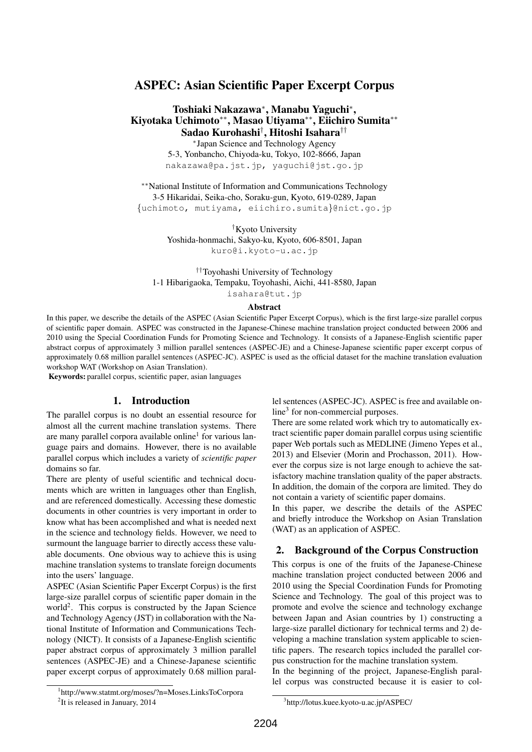## ASPEC: Asian Scientific Paper Excerpt Corpus

### Toshiaki Nakazawa*<sup>∗</sup>* , Manabu Yaguchi*<sup>∗</sup>* , Kiyotaka Uchimoto*∗∗*, Masao Utiyama*∗∗*, Eiichiro Sumita*∗∗* Sadao Kurohashi*†* , Hitoshi Isahara*††*

*∗* Japan Science and Technology Agency 5-3, Yonbancho, Chiyoda-ku, Tokyo, 102-8666, Japan nakazawa@pa.jst.jp, yaguchi@jst.go.jp

*∗∗*National Institute of Information and Communications Technology 3-5 Hikaridai, Seika-cho, Soraku-gun, Kyoto, 619-0289, Japan *{*uchimoto, mutiyama, eiichiro.sumita*}*@nict.go.jp

> *†*Kyoto University Yoshida-honmachi, Sakyo-ku, Kyoto, 606-8501, Japan kuro@i.kyoto-u.ac.jp

*††*Toyohashi University of Technology 1-1 Hibarigaoka, Tempaku, Toyohashi, Aichi, 441-8580, Japan isahara@tut.jp

## Abstract

In this paper, we describe the details of the ASPEC (Asian Scientific Paper Excerpt Corpus), which is the first large-size parallel corpus of scientific paper domain. ASPEC was constructed in the Japanese-Chinese machine translation project conducted between 2006 and 2010 using the Special Coordination Funds for Promoting Science and Technology. It consists of a Japanese-English scientific paper abstract corpus of approximately 3 million parallel sentences (ASPEC-JE) and a Chinese-Japanese scientific paper excerpt corpus of approximately 0.68 million parallel sentences (ASPEC-JC). ASPEC is used as the official dataset for the machine translation evaluation workshop WAT (Workshop on Asian Translation).

Keywords: parallel corpus, scientific paper, asian languages

#### 1. Introduction

The parallel corpus is no doubt an essential resource for almost all the current machine translation systems. There are many parallel corpora available online<sup>1</sup> for various language pairs and domains. However, there is no available parallel corpus which includes a variety of *scientific paper* domains so far.

There are plenty of useful scientific and technical documents which are written in languages other than English, and are referenced domestically. Accessing these domestic documents in other countries is very important in order to know what has been accomplished and what is needed next in the science and technology fields. However, we need to surmount the language barrier to directly access these valuable documents. One obvious way to achieve this is using machine translation systems to translate foreign documents into the users' language.

ASPEC (Asian Scientific Paper Excerpt Corpus) is the first large-size parallel corpus of scientific paper domain in the world<sup>2</sup>. This corpus is constructed by the Japan Science and Technology Agency (JST) in collaboration with the National Institute of Information and Communications Technology (NICT). It consists of a Japanese-English scientific paper abstract corpus of approximately 3 million parallel sentences (ASPEC-JE) and a Chinese-Japanese scientific paper excerpt corpus of approximately 0.68 million parallel sentences (ASPEC-JC). ASPEC is free and available online<sup>3</sup> for non-commercial purposes.

There are some related work which try to automatically extract scientific paper domain parallel corpus using scientific paper Web portals such as MEDLINE (Jimeno Yepes et al., 2013) and Elsevier (Morin and Prochasson, 2011). However the corpus size is not large enough to achieve the satisfactory machine translation quality of the paper abstracts. In addition, the domain of the corpora are limited. They do not contain a variety of scientific paper domains.

In this paper, we describe the details of the ASPEC and briefly introduce the Workshop on Asian Translation (WAT) as an application of ASPEC.

### 2. Background of the Corpus Construction

This corpus is one of the fruits of the Japanese-Chinese machine translation project conducted between 2006 and 2010 using the Special Coordination Funds for Promoting Science and Technology. The goal of this project was to promote and evolve the science and technology exchange between Japan and Asian countries by 1) constructing a large-size parallel dictionary for technical terms and 2) developing a machine translation system applicable to scientific papers. The research topics included the parallel corpus construction for the machine translation system.

In the beginning of the project, Japanese-English parallel corpus was constructed because it is easier to col-

<sup>1</sup> http://www.statmt.org/moses/?n=Moses.LinksToCorpora

<sup>&</sup>lt;sup>2</sup>It is released in January, 2014

<sup>3</sup> http://lotus.kuee.kyoto-u.ac.jp/ASPEC/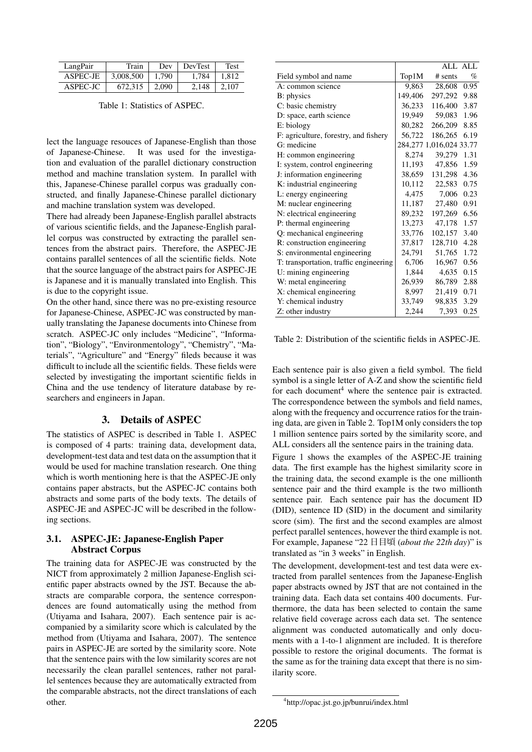| LangPair | Train     | Dev   | <b>DevTest</b> | Test  |
|----------|-----------|-------|----------------|-------|
| ASPEC-JE | 3,008,500 | 1.790 | 1.784          | 1.812 |
| ASPEC-JC | 672.315   | 2.090 | 2.148          | 2.107 |

Table 1: Statistics of ASPEC.

lect the language resouces of Japanese-English than those of Japanese-Chinese. It was used for the investigation and evaluation of the parallel dictionary construction method and machine translation system. In parallel with this, Japanese-Chinese parallel corpus was gradually constructed, and finally Japanese-Chinese parallel dictionary and machine translation system was developed.

There had already been Japanese-English parallel abstracts of various scientific fields, and the Japanese-English parallel corpus was constructed by extracting the parallel sentences from the abstract pairs. Therefore, the ASPEC-JE contains parallel sentences of all the scientific fields. Note that the source language of the abstract pairs for ASPEC-JE is Japanese and it is manually translated into English. This is due to the copyright issue.

On the other hand, since there was no pre-existing resource for Japanese-Chinese, ASPEC-JC was constructed by manually translating the Japanese documents into Chinese from scratch. ASPEC-JC only includes "Medicine", "Information", "Biology", "Environmentology", "Chemistry", "Materials", "Agriculture" and "Energy" fileds because it was difficult to include all the scientific fields. These fields were selected by investigating the important scientific fields in China and the use tendency of literature database by researchers and engineers in Japan.

### 3. Details of ASPEC

The statistics of ASPEC is described in Table 1. ASPEC is composed of 4 parts: training data, development data, development-test data and test data on the assumption that it would be used for machine translation research. One thing which is worth mentioning here is that the ASPEC-JE only contains paper abstracts, but the ASPEC-JC contains both abstracts and some parts of the body texts. The details of ASPEC-JE and ASPEC-JC will be described in the following sections.

### 3.1. ASPEC-JE: Japanese-English Paper Abstract Corpus

The training data for ASPEC-JE was constructed by the NICT from approximately 2 million Japanese-English scientific paper abstracts owned by the JST. Because the abstracts are comparable corpora, the sentence correspondences are found automatically using the method from (Utiyama and Isahara, 2007). Each sentence pair is accompanied by a similarity score which is calculated by the method from (Utiyama and Isahara, 2007). The sentence pairs in ASPEC-JE are sorted by the similarity score. Note that the sentence pairs with the low similarity scores are not necessarily the clean parallel sentences, rather not parallel sentences because they are automatically extracted from the comparable abstracts, not the direct translations of each other.

|                                        |         |                         | ALL ALL |
|----------------------------------------|---------|-------------------------|---------|
| Field symbol and name                  | Top1M   | $#$ sents               | $\%$    |
| A: common science                      | 9,863   | 28,608                  | 0.95    |
| B: physics                             | 149,406 | 297,292                 | 9.88    |
| C: basic chemistry                     | 36,233  | 116,400                 | 3.87    |
| D: space, earth science                | 19,949  | 59,083                  | 1.96    |
| E: biology                             | 80,282  | 266,209                 | 8.85    |
| F: agriculture, forestry, and fishery  | 56,722  | 186,265                 | 6.19    |
| G: medicine                            |         | 284,277 1,016,024 33.77 |         |
| H: common engineering                  | 8,274   | 39,279                  | 1.31    |
| I: system, control engineering         | 11,193  | 47,856                  | 1.59    |
| J: information engineering             | 38,659  | 131,298                 | 4.36    |
| K: industrial engineering              | 10,112  | 22,583                  | 0.75    |
| L: energy engineering                  | 4,475   | 7.006                   | 0.23    |
| M: nuclear engineering                 | 11,187  | 27,480                  | 0.91    |
| N: electrical engineering              | 89,232  | 197.269                 | 6.56    |
| P: thermal engineering                 | 13,273  | 47.178                  | 1.57    |
| Q: mechanical engineering              | 33,776  | 102,157                 | 3.40    |
| R: construction engineering            | 37,817  | 128,710                 | 4.28    |
| S: environmental engineering           | 24,791  | 51,765                  | 1.72    |
| T: transportation, traffic engineering | 6,706   | 16,967                  | 0.56    |
| U: mining engineering                  | 1,844   | 4,635                   | 0.15    |
| W: metal engineering                   | 26,939  | 86,789                  | 2.88    |
| X: chemical engineering                | 8,997   | 21,419                  | 0.71    |
| Y: chemical industry                   | 33,749  | 98,835                  | 3.29    |
| Z: other industry                      | 2,244   | 7,393                   | 0.25    |

Table 2: Distribution of the scientific fields in ASPEC-JE.

Each sentence pair is also given a field symbol. The field symbol is a single letter of A-Z and show the scientific field for each document<sup>4</sup> where the sentence pair is extracted. The correspondence between the symbols and field names, along with the frequency and occurrence ratios for the training data, are given in Table 2. Top1M only considers the top 1 million sentence pairs sorted by the similarity score, and ALL considers all the sentence pairs in the training data.

Figure 1 shows the examples of the ASPEC-JE training data. The first example has the highest similarity score in the training data, the second example is the one millionth sentence pair and the third example is the two millionth sentence pair. Each sentence pair has the document ID (DID), sentence ID (SID) in the document and similarity score (sim). The first and the second examples are almost perfect parallel sentences, however the third example is not. For example, Japanese "22 日目頃 (*about the 22th day*)" is translated as "in 3 weeks" in English.

The development, development-test and test data were extracted from parallel sentences from the Japanese-English paper abstracts owned by JST that are not contained in the training data. Each data set contains 400 documents. Furthermore, the data has been selected to contain the same relative field coverage across each data set. The sentence alignment was conducted automatically and only documents with a 1-to-1 alignment are included. It is therefore possible to restore the original documents. The format is the same as for the training data except that there is no similarity score.

<sup>4</sup> http://opac.jst.go.jp/bunrui/index.html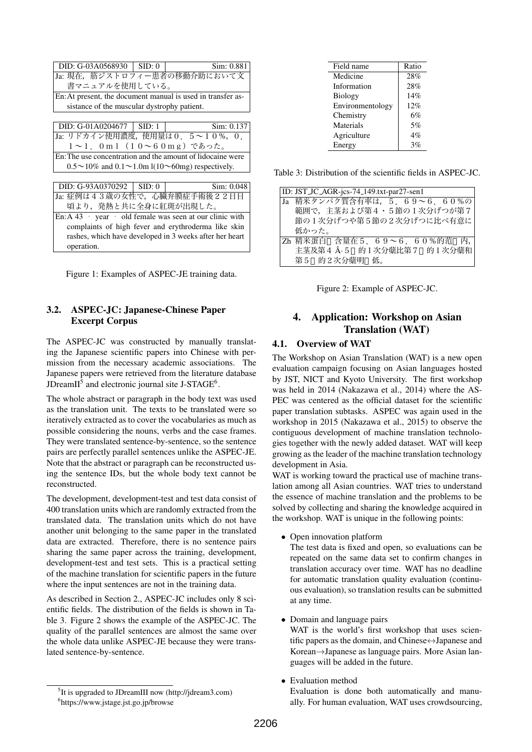| DID: G-03A0568930                                           | SID: 0 | Sim: 0.881                                                             |
|-------------------------------------------------------------|--------|------------------------------------------------------------------------|
|                                                             |        | Ja: 現在,筋ジストロフィー患者の移動介助において文                                            |
| 書マニュアルを使用している。                                              |        |                                                                        |
| En: At present, the document manual is used in transfer as- |        |                                                                        |
| sistance of the muscular dystrophy patient.                 |        |                                                                        |
|                                                             |        |                                                                        |
| DID: $G-01A0204677$   SID: 1                                |        | Sim: 0.137                                                             |
|                                                             |        | Ja: リドカイン使用濃度, 使用量は 0. 5 ~ 1 0 %, 0.                                   |
| 1~1. 0ml (10~60mg) であった。                                    |        |                                                                        |
|                                                             |        | En: The use concentration and the amount of lidocaine were             |
|                                                             |        | $0.5 \sim 10\%$ and $0.1 \sim 1.0$ m l( $10 \sim 60$ mg) respectively. |
|                                                             |        |                                                                        |

|  | DID: $G-93A0370292$   SID: 0 | Sim: 0.048                  |
|--|------------------------------|-----------------------------|
|  |                              | Ja: 症例は43歳の女性で,心臓弁膜症手術後22日目 |
|  |                              | 頃より、発熱と共に全身に紅斑が出現した。        |

En: A 43 – year – old female was seen at our clinic with complaints of high fever and erythroderma like skin rashes, which have developed in 3 weeks after her heart operation.

Figure 1: Examples of ASPEC-JE training data.

## 3.2. ASPEC-JC: Japanese-Chinese Paper Excerpt Corpus

The ASPEC-JC was constructed by manually translating the Japanese scientific papers into Chinese with permission from the necessary academic associations. The Japanese papers were retrieved from the literature database JDreamII<sup>5</sup> and electronic journal site J-STAGE<sup>6</sup>.

The whole abstract or paragraph in the body text was used as the translation unit. The texts to be translated were so iteratively extracted as to cover the vocabularies as much as possible considering the nouns, verbs and the case frames. They were translated sentence-by-sentence, so the sentence pairs are perfectly parallel sentences unlike the ASPEC-JE. Note that the abstract or paragraph can be reconstructed using the sentence IDs, but the whole body text cannot be reconstructed.

The development, development-test and test data consist of 400 translation units which are randomly extracted from the translated data. The translation units which do not have another unit belonging to the same paper in the translated data are extracted. Therefore, there is no sentence pairs sharing the same paper across the training, development, development-test and test sets. This is a practical setting of the machine translation for scientific papers in the future where the input sentences are not in the training data.

As described in Section 2., ASPEC-JC includes only 8 scientific fields. The distribution of the fields is shown in Table 3. Figure 2 shows the example of the ASPEC-JC. The quality of the parallel sentences are almost the same over the whole data unlike ASPEC-JE because they were translated sentence-by-sentence.

| Field name       | Ratio |
|------------------|-------|
| Medicine         | 28%   |
| Information      | 28%   |
| <b>Biology</b>   | 14%   |
| Environmentology | 12%   |
| Chemistry        | 6%    |
| Materials        | 5%    |
| Agriculture      | $4\%$ |
| Energy           | 3%    |

Table 3: Distribution of the scientific fields in ASPEC-JC.

| ID: JST_JC_AGR-jcs-74_149.txt-par27-sen1 |
|------------------------------------------|
| Ja 精米タンパク質含有率は, 5. 69~6. 60%の            |
| 範囲で、主茎および第4・5節の1次分げつが第7                  |
| 節の1次分げつや第5節の2次分げつに比べ有意に                  |
| 低かった。                                    |
| Zh 精米蛋白 含量在 5. 69~6. 60%的范 内,            |
| 主茎及第4 A·5 的 1 次分蘖比第 7 的 1 次分蘖和           |
| 第5 的2次分蘖明 低。                             |



# 4. Application: Workshop on Asian Translation (WAT)

## 4.1. Overview of WAT

The Workshop on Asian Translation (WAT) is a new open evaluation campaign focusing on Asian languages hosted by JST, NICT and Kyoto University. The first workshop was held in 2014 (Nakazawa et al., 2014) where the AS-PEC was centered as the official dataset for the scientific paper translation subtasks. ASPEC was again used in the workshop in 2015 (Nakazawa et al., 2015) to observe the contiguous development of machine translation technologies together with the newly added dataset. WAT will keep growing as the leader of the machine translation technology development in Asia.

WAT is working toward the practical use of machine translation among all Asian countries. WAT tries to understand the essence of machine translation and the problems to be solved by collecting and sharing the knowledge acquired in the workshop. WAT is unique in the following points:

*•* Open innovation platform

The test data is fixed and open, so evaluations can be repeated on the same data set to confirm changes in translation accuracy over time. WAT has no deadline for automatic translation quality evaluation (continuous evaluation), so translation results can be submitted at any time.

*•* Domain and language pairs

WAT is the world's first workshop that uses scientific papers as the domain, and Chinese*↔*Japanese and Korean*→*Japanese as language pairs. More Asian languages will be added in the future.

*•* Evaluation method

Evaluation is done both automatically and manually. For human evaluation, WAT uses crowdsourcing,

<sup>&</sup>lt;sup>5</sup>It is upgraded to JDreamIII now (http://jdream3.com)

<sup>6</sup> https://www.jstage.jst.go.jp/browse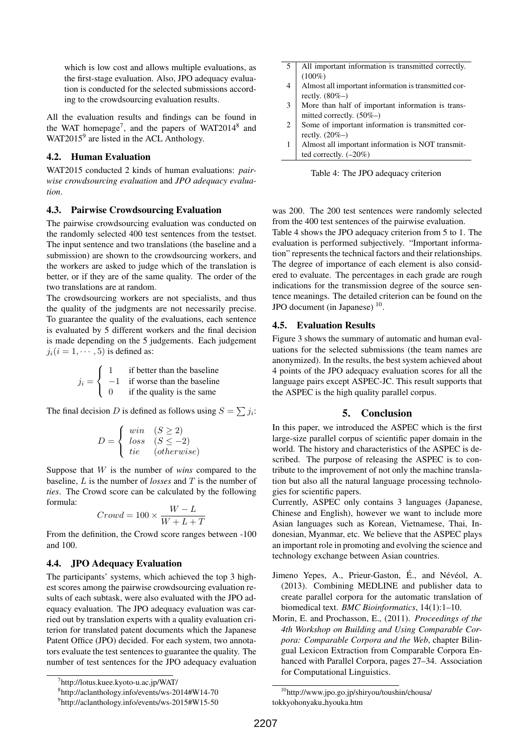which is low cost and allows multiple evaluations, as the first-stage evaluation. Also, JPO adequacy evaluation is conducted for the selected submissions according to the crowdsourcing evaluation results.

All the evaluation results and findings can be found in the WAT homepage<sup>7</sup>, and the papers of WAT2014<sup>8</sup> and WAT2015 $9$  are listed in the ACL Anthology.

### 4.2. Human Evaluation

WAT2015 conducted 2 kinds of human evaluations: *pairwise crowdsourcing evaluation* and *JPO adequacy evaluation*.

### 4.3. Pairwise Crowdsourcing Evaluation

The pairwise crowdsourcing evaluation was conducted on the randomly selected 400 test sentences from the testset. The input sentence and two translations (the baseline and a submission) are shown to the crowdsourcing workers, and the workers are asked to judge which of the translation is better, or if they are of the same quality. The order of the two translations are at random.

The crowdsourcing workers are not specialists, and thus the quality of the judgments are not necessarily precise. To guarantee the quality of the evaluations, each sentence is evaluated by 5 different workers and the final decision is made depending on the 5 judgements. Each judgement  $j_i(i = 1, \dots, 5)$  is defined as:

$$
j_i = \begin{cases} 1 & \text{if better than the baseline} \\ -1 & \text{if worse than the baseline} \\ 0 & \text{if the quality is the same} \end{cases}
$$

The final decision *D* is defined as follows using  $S = \sum j_i$ :

$$
D = \begin{cases} \n\begin{array}{cc}\nwin & (S \ge 2) \\
loss & (S \le -2) \\
tie & (otherwise)\n\end{array}\n\end{cases}
$$

Suppose that *W* is the number of *wins* compared to the baseline, *L* is the number of *losses* and *T* is the number of *ties*. The Crowd score can be calculated by the following formula:

$$
Crowd = 100 \times \frac{W-L}{W+L+T}
$$

From the definition, the Crowd score ranges between -100 and 100.

### 4.4. JPO Adequacy Evaluation

The participants' systems, which achieved the top 3 highest scores among the pairwise crowdsourcing evaluation results of each subtask, were also evaluated with the JPO adequacy evaluation. The JPO adequacy evaluation was carried out by translation experts with a quality evaluation criterion for translated patent documents which the Japanese Patent Office (JPO) decided. For each system, two annotators evaluate the test sentences to guarantee the quality. The number of test sentences for the JPO adequacy evaluation

- 5 All important information is transmitted correctly.  $(100\%)$
- 4 Almost all important information is transmitted correctly. (80%–)
- 3 More than half of important information is transmitted correctly. (50%–)
- 2 Some of important information is transmitted correctly. (20%–)
- 1 Almost all important information is NOT transmitted correctly. (–20%)



was 200. The 200 test sentences were randomly selected from the 400 test sentences of the pairwise evaluation.

Table 4 shows the JPO adequacy criterion from 5 to 1. The evaluation is performed subjectively. "Important information" represents the technical factors and their relationships. The degree of importance of each element is also considered to evaluate. The percentages in each grade are rough indications for the transmission degree of the source sentence meanings. The detailed criterion can be found on the JPO document (in Japanese)  $10$ .

#### 4.5. Evaluation Results

Figure 3 shows the summary of automatic and human evaluations for the selected submissions (the team names are anonymized). In the results, the best system achieved about 4 points of the JPO adequacy evaluation scores for all the language pairs except ASPEC-JC. This result supports that the ASPEC is the high quality parallel corpus.

### 5. Conclusion

In this paper, we introduced the ASPEC which is the first large-size parallel corpus of scientific paper domain in the world. The history and characteristics of the ASPEC is described. The purpose of releasing the ASPEC is to contribute to the improvement of not only the machine translation but also all the natural language processing technologies for scientific papers.

Currently, ASPEC only contains 3 languages (Japanese, Chinese and English), however we want to include more Asian languages such as Korean, Vietnamese, Thai, Indonesian, Myanmar, etc. We believe that the ASPEC plays an important role in promoting and evolving the science and technology exchange between Asian countries.

- Jimeno Yepes, A., Prieur-Gaston, É., and Névéol, A. (2013). Combining MEDLINE and publisher data to create parallel corpora for the automatic translation of biomedical text. *BMC Bioinformatics*, 14(1):1–10.
- Morin, E. and Prochasson, E., (2011). *Proceedings of the 4th Workshop on Building and Using Comparable Corpora: Comparable Corpora and the Web*, chapter Bilingual Lexicon Extraction from Comparable Corpora Enhanced with Parallel Corpora, pages 27–34. Association for Computational Linguistics.

<sup>7</sup> http://lotus.kuee.kyoto-u.ac.jp/WAT/

<sup>8</sup> http://aclanthology.info/events/ws-2014#W14-70

<sup>9</sup> http://aclanthology.info/events/ws-2015#W15-50

<sup>10</sup>http://www.jpo.go.jp/shiryou/toushin/chousa/ tokkyohonyaku hyouka.htm